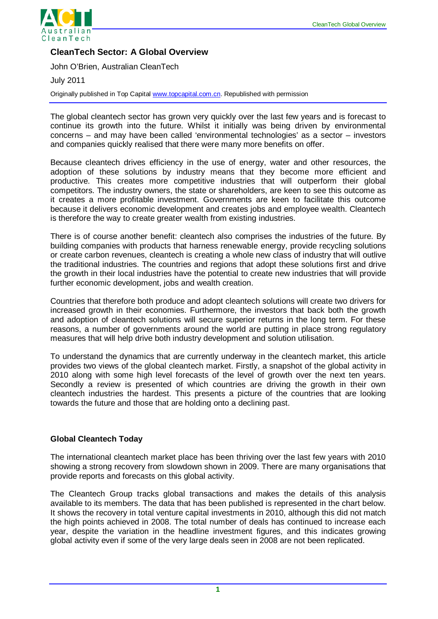

# **CleanTech Sector: A Global Overview**

John O'Brien, Australian CleanTech

July 2011

Originally published in Top Capital [www.topcapital.com.cn.](http://www.topcapital.com.cn/) Republished with permission

The global cleantech sector has grown very quickly over the last few years and is forecast to continue its growth into the future. Whilst it initially was being driven by environmental concerns – and may have been called 'environmental technologies' as a sector – investors and companies quickly realised that there were many more benefits on offer.

Because cleantech drives efficiency in the use of energy, water and other resources, the adoption of these solutions by industry means that they become more efficient and productive. This creates more competitive industries that will outperform their global competitors. The industry owners, the state or shareholders, are keen to see this outcome as it creates a more profitable investment. Governments are keen to facilitate this outcome because it delivers economic development and creates jobs and employee wealth. Cleantech is therefore the way to create greater wealth from existing industries.

There is of course another benefit: cleantech also comprises the industries of the future. By building companies with products that harness renewable energy, provide recycling solutions or create carbon revenues, cleantech is creating a whole new class of industry that will outlive the traditional industries. The countries and regions that adopt these solutions first and drive the growth in their local industries have the potential to create new industries that will provide further economic development, jobs and wealth creation.

Countries that therefore both produce and adopt cleantech solutions will create two drivers for increased growth in their economies. Furthermore, the investors that back both the growth and adoption of cleantech solutions will secure superior returns in the long term. For these reasons, a number of governments around the world are putting in place strong regulatory measures that will help drive both industry development and solution utilisation.

To understand the dynamics that are currently underway in the cleantech market, this article provides two views of the global cleantech market. Firstly, a snapshot of the global activity in 2010 along with some high level forecasts of the level of growth over the next ten years. Secondly a review is presented of which countries are driving the growth in their own cleantech industries the hardest. This presents a picture of the countries that are looking towards the future and those that are holding onto a declining past.

### **Global Cleantech Today**

The international cleantech market place has been thriving over the last few years with 2010 showing a strong recovery from slowdown shown in 2009. There are many organisations that provide reports and forecasts on this global activity.

The Cleantech Group tracks global transactions and makes the details of this analysis available to its members. The data that has been published is represented in the chart below. It shows the recovery in total venture capital investments in 2010, although this did not match the high points achieved in 2008. The total number of deals has continued to increase each year, despite the variation in the headline investment figures, and this indicates growing global activity even if some of the very large deals seen in 2008 are not been replicated.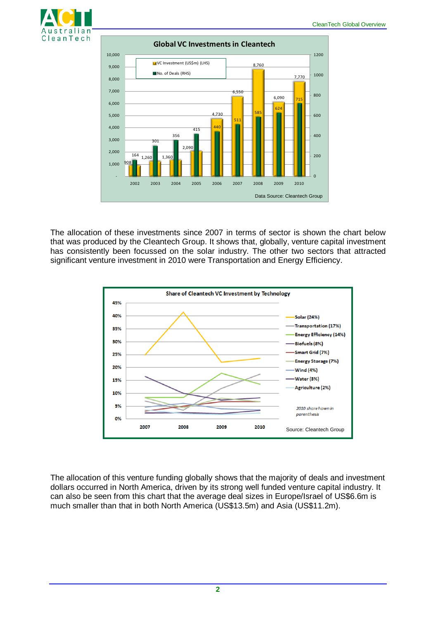



The allocation of these investments since 2007 in terms of sector is shown the chart below that was produced by the Cleantech Group. It shows that, globally, venture capital investment has consistently been focussed on the solar industry. The other two sectors that attracted significant venture investment in 2010 were Transportation and Energy Efficiency.



The allocation of this venture funding globally shows that the majority of deals and investment dollars occurred in North America, driven by its strong well funded venture capital industry. It can also be seen from this chart that the average deal sizes in Europe/Israel of US\$6.6m is much smaller than that in both North America (US\$13.5m) and Asia (US\$11.2m).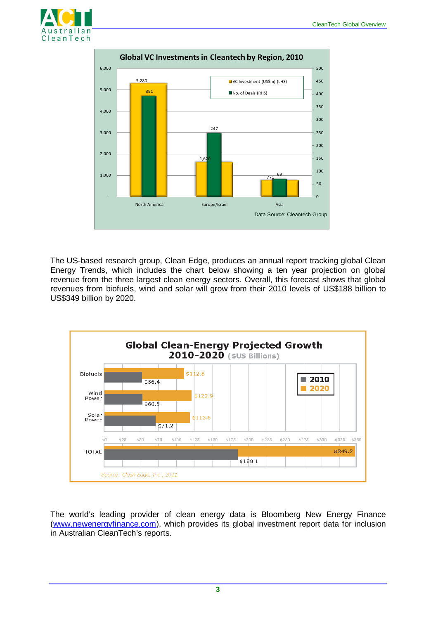



The US-based research group, Clean Edge, produces an annual report tracking global Clean Energy Trends, which includes the chart below showing a ten year projection on global revenue from the three largest clean energy sectors. Overall, this forecast shows that global revenues from biofuels, wind and solar will grow from their 2010 levels of US\$188 billion to US\$349 billion by 2020.



The world's leading provider of clean energy data is Bloomberg New Energy Finance [\(www.newenergyfinance.com\)](http://www.newenergyfinance.com/), which provides its global investment report data for inclusion in Australian CleanTech's reports.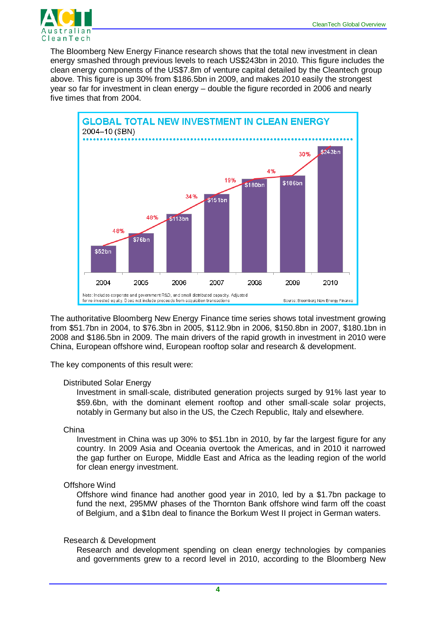

The Bloomberg New Energy Finance research shows that the total new investment in clean energy smashed through previous levels to reach US\$243bn in 2010. This figure includes the clean energy components of the US\$7.8m of venture capital detailed by the Cleantech group above. This figure is up 30% from \$186.5bn in 2009, and makes 2010 easily the strongest year so far for investment in clean energy – double the figure recorded in 2006 and nearly five times that from 2004.



The authoritative Bloomberg New Energy Finance time series shows total investment growing from \$51.7bn in 2004, to \$76.3bn in 2005, \$112.9bn in 2006, \$150.8bn in 2007, \$180.1bn in 2008 and \$186.5bn in 2009. The main drivers of the rapid growth in investment in 2010 were China, European offshore wind, European rooftop solar and research & development.

The key components of this result were:

#### Distributed Solar Energy

Investment in small-scale, distributed generation projects surged by 91% last year to \$59.6bn, with the dominant element rooftop and other small-scale solar projects, notably in Germany but also in the US, the Czech Republic, Italy and elsewhere.

### China

Investment in China was up 30% to \$51.1bn in 2010, by far the largest figure for any country. In 2009 Asia and Oceania overtook the Americas, and in 2010 it narrowed the gap further on Europe, Middle East and Africa as the leading region of the world for clean energy investment.

## Offshore Wind

Offshore wind finance had another good year in 2010, led by a \$1.7bn package to fund the next, 295MW phases of the Thornton Bank offshore wind farm off the coast of Belgium, and a \$1bn deal to finance the Borkum West II project in German waters.

### Research & Development

Research and development spending on clean energy technologies by companies and governments grew to a record level in 2010, according to the Bloomberg New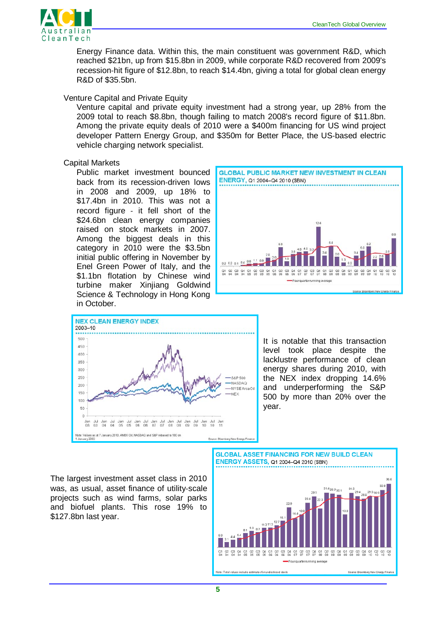

Energy Finance data. Within this, the main constituent was government R&D, which reached \$21bn, up from \$15.8bn in 2009, while corporate R&D recovered from 2009's recession-hit figure of \$12.8bn, to reach \$14.4bn, giving a total for global clean energy R&D of \$35.5bn.

### Venture Capital and Private Equity

Venture capital and private equity investment had a strong year, up 28% from the 2009 total to reach \$8.8bn, though failing to match 2008's record figure of \$11.8bn. Among the private equity deals of 2010 were a \$400m financing for US wind project developer Pattern Energy Group, and \$350m for Better Place, the US-based electric vehicle charging network specialist.

### Capital Markets

Public market investment bounced back from its recession-driven lows in 2008 and 2009, up 18% to \$17.4bn in 2010. This was not a record figure - it fell short of the \$24.6bn clean energy companies raised on stock markets in 2007. Among the biggest deals in this category in 2010 were the \$3.5bn initial public offering in November by Enel Green Power of Italy, and the \$1.1bn flotation by Chinese wind turbine maker Xinjiang Goldwind Science & Technology in Hong Kong in October.





It is notable that this transaction level took place despite the lacklustre performance of clean energy shares during 2010, with the NEX index dropping 14.6% and underperforming the S&P 500 by more than 20% over the year.

The largest investment asset class in 2010 was, as usual, asset finance of utility-scale projects such as wind farms, solar parks and biofuel plants. This rose 19% to \$127.8bn last year.

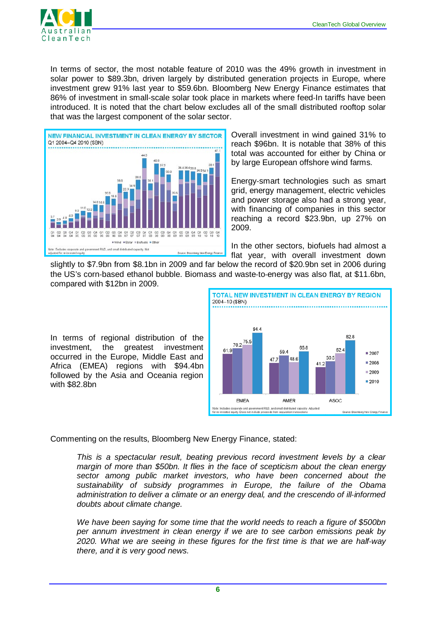

In terms of sector, the most notable feature of 2010 was the 49% growth in investment in solar power to \$89.3bn, driven largely by distributed generation projects in Europe, where investment grew 91% last year to \$59.6bn. Bloomberg New Energy Finance estimates that 86% of investment in small-scale solar took place in markets where feed-In tariffs have been introduced. It is noted that the chart below excludes all of the small distributed rooftop solar that was the largest component of the solar sector.



Overall investment in wind gained 31% to reach \$96bn. It is notable that 38% of this total was accounted for either by China or by large European offshore wind farms.

Energy-smart technologies such as smart grid, energy management, electric vehicles and power storage also had a strong year, with financing of companies in this sector reaching a record \$23.9bn, up 27% on 2009.

In the other sectors, biofuels had almost a flat year, with overall investment down

slightly to \$7.9bn from \$8.1bn in 2009 and far below the record of \$20.9bn set in 2006 during the US's corn-based ethanol bubble. Biomass and waste-to-energy was also flat, at \$11.6bn, compared with \$12bn in 2009.

In terms of regional distribution of the investment, the greatest investment occurred in the Europe, Middle East and Africa (EMEA) regions with \$94.4bn followed by the Asia and Oceania region with \$82.8bn



Commenting on the results, Bloomberg New Energy Finance, stated:

*This is a spectacular result, beating previous record investment levels by a clear margin of more than \$50bn. It flies in the face of scepticism about the clean energy sector among public market investors, who have been concerned about the sustainability of subsidy programmes in Europe, the failure of the Obama administration to deliver a climate or an energy deal, and the crescendo of ill‐informed doubts about climate change.*

*We have been saying for some time that the world needs to reach a figure of \$500bn per annum investment in clean energy if we are to see carbon emissions peak by 2020. What we are seeing in these figures for the first time is that we are half‐way there, and it is very good news.*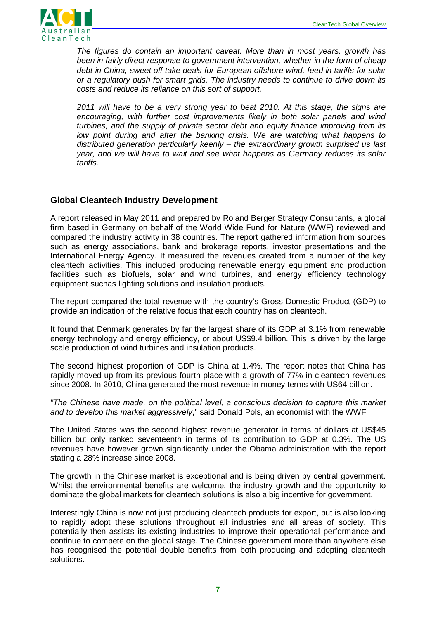

*The figures do contain an important caveat. More than in most years, growth has been in fairly direct response to government intervention, whether in the form of cheap debt in China, sweet off‐take deals for European offshore wind, feed‐in tariffs for solar or a regulatory push for smart grids. The industry needs to continue to drive down its costs and reduce its reliance on this sort of support.*

*2011 will have to be a very strong year to beat 2010. At this stage, the signs are encouraging, with further cost improvements likely in both solar panels and wind turbines, and the supply of private sector debt and equity finance improving from its*  low point during and after the banking crisis. We are watching what happens to *distributed generation particularly keenly – the extraordinary growth surprised us last year, and we will have to wait and see what happens as Germany reduces its solar tariffs.*

## **Global Cleantech Industry Development**

A report released in May 2011 and prepared by Roland Berger Strategy Consultants, a global firm based in Germany on behalf of the World Wide Fund for Nature (WWF) reviewed and compared the industry activity in 38 countries. The report gathered information from sources such as energy associations, bank and brokerage reports, investor presentations and the International Energy Agency. It measured the revenues created from a number of the key cleantech activities. This included producing renewable energy equipment and production facilities such as biofuels, solar and wind turbines, and energy efficiency technology equipment suchas lighting solutions and insulation products.

The report compared the total revenue with the country's Gross Domestic Product (GDP) to provide an indication of the relative focus that each country has on cleantech.

It found that Denmark generates by far the largest share of its GDP at 3.1% from renewable energy technology and energy efficiency, or about US\$9.4 billion. This is driven by the large scale production of wind turbines and insulation products.

The second highest proportion of GDP is China at 1.4%. The report notes that China has rapidly moved up from its previous fourth place with a growth of 77% in cleantech revenues since 2008. In 2010, China generated the most revenue in money terms with US64 billion.

*"The Chinese have made, on the political level, a conscious decision to capture this market and to develop this market aggressively*," said Donald Pols, an economist with the WWF.

The United States was the second highest revenue generator in terms of dollars at US\$45 billion but only ranked seventeenth in terms of its contribution to GDP at 0.3%. The US revenues have however grown significantly under the Obama administration with the report stating a 28% increase since 2008.

The growth in the Chinese market is exceptional and is being driven by central government. Whilst the environmental benefits are welcome, the industry growth and the opportunity to dominate the global markets for cleantech solutions is also a big incentive for government.

Interestingly China is now not just producing cleantech products for export, but is also looking to rapidly adopt these solutions throughout all industries and all areas of society. This potentially then assists its existing industries to improve their operational performance and continue to compete on the global stage. The Chinese government more than anywhere else has recognised the potential double benefits from both producing and adopting cleantech solutions.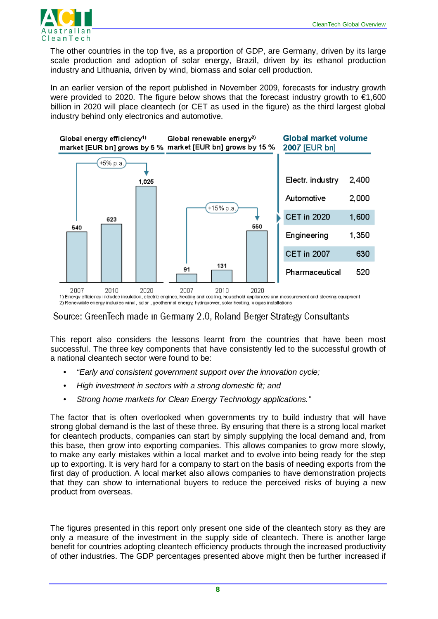

The other countries in the top five, as a proportion of GDP, are Germany, driven by its large scale production and adoption of solar energy, Brazil, driven by its ethanol production industry and Lithuania, driven by wind, biomass and solar cell production.

In an earlier version of the report published in November 2009, forecasts for industry growth were provided to 2020. The figure below shows that the forecast industry growth to  $\epsilon$ 1,600 billion in 2020 will place cleantech (or CET as used in the figure) as the third largest global industry behind only electronics and automotive.



2) Renewable energy includes wind, solar, geothermal energy, hydropower, solar heating, biogas installations

Source: GreenTech made in Germany 2.0, Roland Berger Strategy Consultants

This report also considers the lessons learnt from the countries that have been most successful. The three key components that have consistently led to the successful growth of a national cleantech sector were found to be:

- *"Early and consistent government support over the innovation cycle;*
- *High investment in sectors with a strong domestic fit; and*
- *Strong home markets for Clean Energy Technology applications."*

The factor that is often overlooked when governments try to build industry that will have strong global demand is the last of these three. By ensuring that there is a strong local market for cleantech products, companies can start by simply supplying the local demand and, from this base, then grow into exporting companies. This allows companies to grow more slowly, to make any early mistakes within a local market and to evolve into being ready for the step up to exporting. It is very hard for a company to start on the basis of needing exports from the first day of production. A local market also allows companies to have demonstration projects that they can show to international buyers to reduce the perceived risks of buying a new product from overseas.

The figures presented in this report only present one side of the cleantech story as they are only a measure of the investment in the supply side of cleantech. There is another large benefit for countries adopting cleantech efficiency products through the increased productivity of other industries. The GDP percentages presented above might then be further increased if